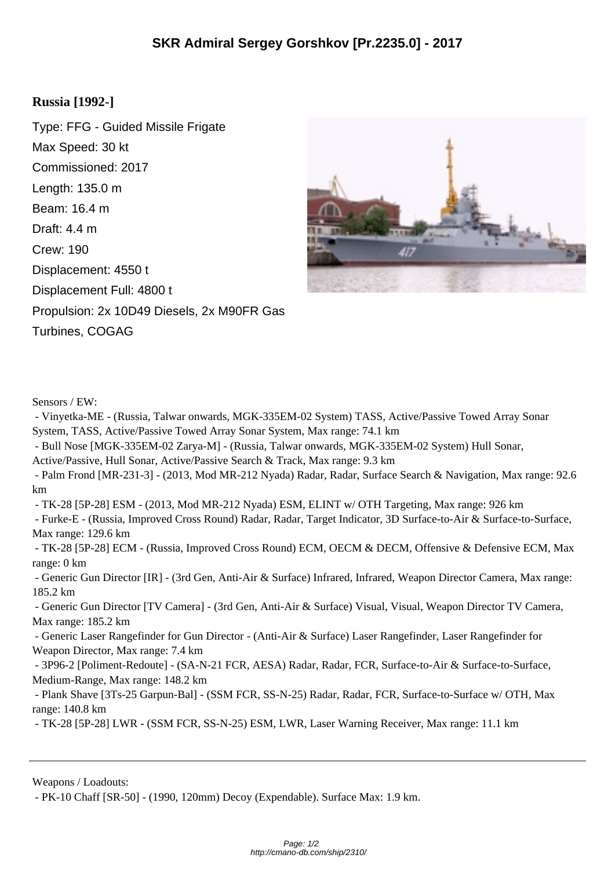## **Russia [1992-]**

Type: FFG - Guided Missile Frigate Max Speed: 30 kt Commissioned: 2017 Length: 135.0 m Beam: 16.4 m Draft: 4.4 m Crew: 190 Displacement: 4550 t Displacement Full: 4800 t Propulsion: 2x 10D49 Diesels, 2x M90FR Gas Turbines, COGAG



Sensors / EW:

 - Vinyetka-ME - (Russia, Talwar onwards, MGK-335EM-02 System) TASS, Active/Passive Towed Array Sonar System, TASS, Active/Passive Towed Array Sonar System, Max range: 74.1 km - Bull Nose [MGK-335EM-02 Zarya-M] - (Russia, Talwar onwards, MGK-335EM-02 System) Hull Sonar, Active/Passive, Hull Sonar, Active/Passive Search & Track, Max range: 9.3 km - Palm Frond [MR-231-3] - (2013, Mod MR-212 Nyada) Radar, Radar, Surface Search & Navigation, Max range: 92.6 km - TK-28 [5P-28] ESM - (2013, Mod MR-212 Nyada) ESM, ELINT w/ OTH Targeting, Max range: 926 km - Furke-E - (Russia, Improved Cross Round) Radar, Radar, Target Indicator, 3D Surface-to-Air & Surface-to-Surface, Max range: 129.6 km - TK-28 [5P-28] ECM - (Russia, Improved Cross Round) ECM, OECM & DECM, Offensive & Defensive ECM, Max range: 0 km - Generic Gun Director [IR] - (3rd Gen, Anti-Air & Surface) Infrared, Infrared, Weapon Director Camera, Max range: 185.2 km - Generic Gun Director [TV Camera] - (3rd Gen, Anti-Air & Surface) Visual, Visual, Weapon Director TV Camera, Max range: 185.2 km

 - Generic Laser Rangefinder for Gun Director - (Anti-Air & Surface) Laser Rangefinder, Laser Rangefinder for Weapon Director, Max range: 7.4 km

 - 3P96-2 [Poliment-Redoute] - (SA-N-21 FCR, AESA) Radar, Radar, FCR, Surface-to-Air & Surface-to-Surface, Medium-Range, Max range: 148.2 km

 - Plank Shave [3Ts-25 Garpun-Bal] - (SSM FCR, SS-N-25) Radar, Radar, FCR, Surface-to-Surface w/ OTH, Max range: 140.8 km

- TK-28 [5P-28] LWR - (SSM FCR, SS-N-25) ESM, LWR, Laser Warning Receiver, Max range: 11.1 km

Weapons / Loadouts:

- PK-10 Chaff [SR-50] - (1990, 120mm) Decoy (Expendable). Surface Max: 1.9 km.